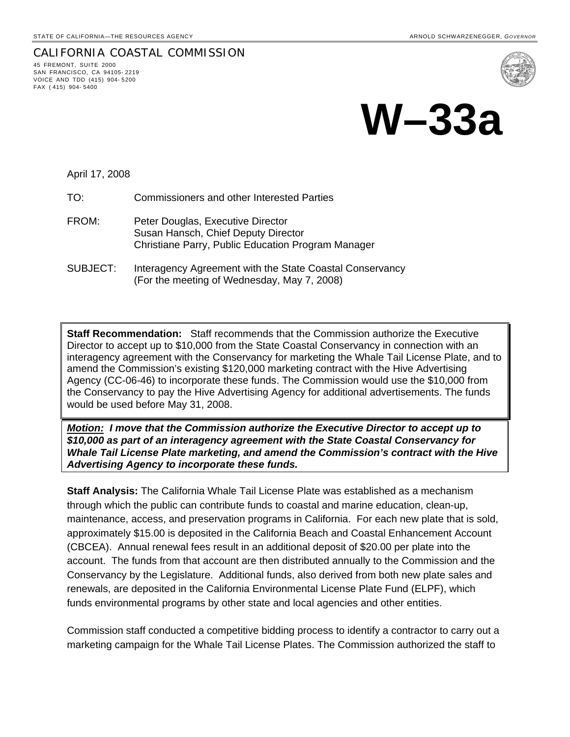## CALIFORNIA COASTAL COMMISSION 45 FREMONT, SUITE 2000 SAN FRANCISCO, CA 94105- 2219 VOICE AND TDD (415) 904- 5200



## **W–33a**

April 17, 2008

FAX ( 415) 904- 5400

TO: Commissioners and other Interested Parties

- FROM: Peter Douglas, Executive Director Susan Hansch, Chief Deputy Director Christiane Parry, Public Education Program Manager
- SUBJECT: Interagency Agreement with the State Coastal Conservancy (For the meeting of Wednesday, May 7, 2008)

**Staff Recommendation:** Staff recommends that the Commission authorize the Executive Director to accept up to \$10,000 from the State Coastal Conservancy in connection with an interagency agreement with the Conservancy for marketing the Whale Tail License Plate, and to amend the Commission's existing \$120,000 marketing contract with the Hive Advertising Agency (CC-06-46) to incorporate these funds. The Commission would use the \$10,000 from the Conservancy to pay the Hive Advertising Agency for additional advertisements. The funds would be used before May 31, 2008.

*Motion: I move that the Commission authorize the Executive Director to accept up to \$10,000 as part of an interagency agreement with the State Coastal Conservancy for Whale Tail License Plate marketing, and amend the Commission's contract with the Hive Advertising Agency to incorporate these funds.* 

**Staff Analysis:** The California Whale Tail License Plate was established as a mechanism through which the public can contribute funds to coastal and marine education, clean-up, maintenance, access, and preservation programs in California. For each new plate that is sold, approximately \$15.00 is deposited in the California Beach and Coastal Enhancement Account (CBCEA). Annual renewal fees result in an additional deposit of \$20.00 per plate into the account. The funds from that account are then distributed annually to the Commission and the Conservancy by the Legislature. Additional funds, also derived from both new plate sales and renewals, are deposited in the California Environmental License Plate Fund (ELPF), which funds environmental programs by other state and local agencies and other entities.

Commission staff conducted a competitive bidding process to identify a contractor to carry out a marketing campaign for the Whale Tail License Plates. The Commission authorized the staff to